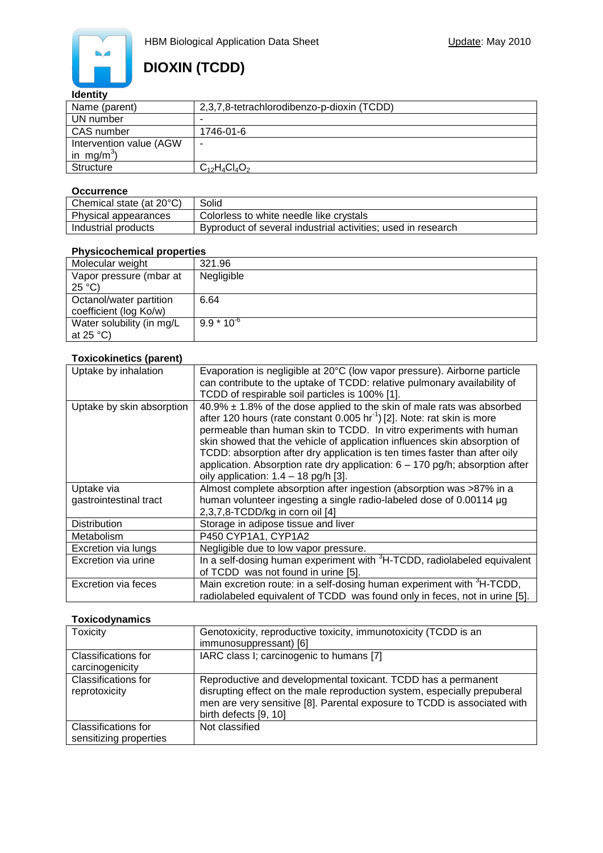

### **Identity**

| Name (parent)           | 2,3,7,8-tetrachlorodibenzo-p-dioxin (TCDD) |  |  |
|-------------------------|--------------------------------------------|--|--|
| UN number               |                                            |  |  |
| CAS number              | 1746-01-6                                  |  |  |
| Intervention value (AGW | -                                          |  |  |
| in mg/m <sup>3</sup> )  |                                            |  |  |
| <b>Structure</b>        | $C_{12}H_4Cl_4O_2$                         |  |  |

#### **Occurrence**

| Chemical state (at 20°C) | Solid                                                        |
|--------------------------|--------------------------------------------------------------|
| Physical appearances     | Colorless to white needle like crystals                      |
| Industrial products      | Byproduct of several industrial activities; used in research |

#### **Physicochemical properties**

| Molecular weight          | 321.96         |
|---------------------------|----------------|
| Vapor pressure (mbar at   | Negligible     |
| $25^{\circ}C$             |                |
| Octanol/water partition   | 6.64           |
| coefficient (log Ko/w)    |                |
| Water solubility (in mg/L | $9.9 * 10^{6}$ |
| at $25^{\circ}$ C)        |                |

#### **Toxicokinetics (parent)**

| Uptake by inhalation                 | Evaporation is negligible at 20°C (low vapor pressure). Airborne particle<br>can contribute to the uptake of TCDD: relative pulmonary availability of<br>TCDD of respirable soil particles is 100% [1].                                                                                                                                                                                                                                                                                                                          |  |
|--------------------------------------|----------------------------------------------------------------------------------------------------------------------------------------------------------------------------------------------------------------------------------------------------------------------------------------------------------------------------------------------------------------------------------------------------------------------------------------------------------------------------------------------------------------------------------|--|
| Uptake by skin absorption            | $40.9\% \pm 1.8\%$ of the dose applied to the skin of male rats was absorbed<br>after 120 hours (rate constant 0.005 hr <sup>-1</sup> ) [2]. Note: rat skin is more<br>permeable than human skin to TCDD. In vitro experiments with human<br>skin showed that the vehicle of application influences skin absorption of<br>TCDD: absorption after dry application is ten times faster than after oily<br>application. Absorption rate dry application: $6 - 170$ pg/h; absorption after<br>oily application: $1.4 - 18$ pg/h [3]. |  |
| Uptake via<br>gastrointestinal tract | Almost complete absorption after ingestion (absorption was >87% in a<br>human volunteer ingesting a single radio-labeled dose of 0.00114 µg<br>2,3,7,8-TCDD/kg in corn oil [4]                                                                                                                                                                                                                                                                                                                                                   |  |
| <b>Distribution</b>                  | Storage in adipose tissue and liver                                                                                                                                                                                                                                                                                                                                                                                                                                                                                              |  |
| Metabolism                           | P450 CYP1A1, CYP1A2                                                                                                                                                                                                                                                                                                                                                                                                                                                                                                              |  |
| Excretion via lungs                  | Negligible due to low vapor pressure.                                                                                                                                                                                                                                                                                                                                                                                                                                                                                            |  |
| Excretion via urine                  | In a self-dosing human experiment with <sup>3</sup> H-TCDD, radiolabeled equivalent<br>of TCDD was not found in urine [5].                                                                                                                                                                                                                                                                                                                                                                                                       |  |
| Excretion via feces                  | Main excretion route: in a self-dosing human experiment with <sup>3</sup> H-TCDD,<br>radiolabeled equivalent of TCDD was found only in feces, not in urine [5].                                                                                                                                                                                                                                                                                                                                                                  |  |

### **Toxicodynamics**

| <b>Toxicity</b>                             | Genotoxicity, reproductive toxicity, immunotoxicity (TCDD is an<br>immunosuppressant) [6]                                                                                                                                                      |  |
|---------------------------------------------|------------------------------------------------------------------------------------------------------------------------------------------------------------------------------------------------------------------------------------------------|--|
|                                             |                                                                                                                                                                                                                                                |  |
| <b>Classifications for</b>                  | IARC class I; carcinogenic to humans [7]                                                                                                                                                                                                       |  |
| carcinogenicity                             |                                                                                                                                                                                                                                                |  |
| <b>Classifications for</b><br>reprotoxicity | Reproductive and developmental toxicant. TCDD has a permanent<br>disrupting effect on the male reproduction system, especially prepuberal<br>men are very sensitive [8]. Parental exposure to TCDD is associated with<br>birth defects [9, 10] |  |
| Classifications for                         | Not classified                                                                                                                                                                                                                                 |  |
| sensitizing properties                      |                                                                                                                                                                                                                                                |  |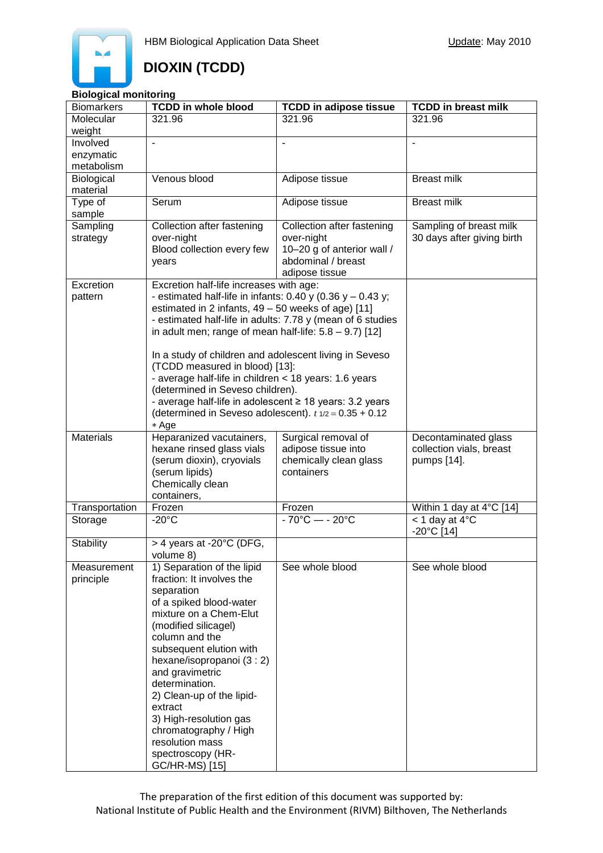### **Biological monitoring**

| <b>TCDD in whole blood</b><br><b>TCDD in breast milk</b><br><b>Biomarkers</b><br><b>TCDD in adipose tissue</b>          |  |
|-------------------------------------------------------------------------------------------------------------------------|--|
| Molecular<br>321.96<br>321.96<br>321.96                                                                                 |  |
| weight                                                                                                                  |  |
| Involved<br>$\blacksquare$                                                                                              |  |
| enzymatic                                                                                                               |  |
| metabolism                                                                                                              |  |
| Venous blood<br>Adipose tissue<br><b>Breast milk</b><br>Biological                                                      |  |
| material                                                                                                                |  |
| <b>Breast milk</b><br>Type of<br>Serum<br>Adipose tissue                                                                |  |
| sample                                                                                                                  |  |
| Sampling<br>Collection after fastening<br>Collection after fastening<br>Sampling of breast milk                         |  |
| over-night<br>over-night<br>30 days after giving birth<br>strategy                                                      |  |
| Blood collection every few<br>10-20 g of anterior wall /                                                                |  |
| abdominal / breast<br>years                                                                                             |  |
| adipose tissue<br>Excretion                                                                                             |  |
| Excretion half-life increases with age:<br>- estimated half-life in infants: $0.40$ y ( $0.36$ y $-0.43$ y;<br>pattern  |  |
| estimated in 2 infants, $49 - 50$ weeks of age) [11]                                                                    |  |
| - estimated half-life in adults: 7.78 y (mean of 6 studies                                                              |  |
| in adult men; range of mean half-life: $5.8 - 9.7$ ) [12]                                                               |  |
|                                                                                                                         |  |
| In a study of children and adolescent living in Seveso                                                                  |  |
| (TCDD measured in blood) [13]:                                                                                          |  |
| - average half-life in children < 18 years: 1.6 years                                                                   |  |
| (determined in Seveso children).                                                                                        |  |
| - average half-life in adolescent ≥ 18 years: 3.2 years                                                                 |  |
| (determined in Seveso adolescent). $t \frac{1}{2} = 0.35 + 0.12$                                                        |  |
| * Age                                                                                                                   |  |
| <b>Materials</b><br>Heparanized vacutainers,<br>Surgical removal of<br>Decontaminated glass                             |  |
| hexane rinsed glass vials<br>adipose tissue into<br>collection vials, breast                                            |  |
| (serum dioxin), cryovials<br>chemically clean glass<br>pumps [14].                                                      |  |
| (serum lipids)<br>containers                                                                                            |  |
| Chemically clean                                                                                                        |  |
| containers,                                                                                                             |  |
| Frozen<br>Transportation<br>Within 1 day at 4°C [14]<br>Frozen<br>$-20^{\circ}$ C<br>$-70^{\circ}$ C - $- 20^{\circ}$ C |  |
| $<$ 1 day at 4 $^{\circ}$ C<br>Storage<br>$-20^{\circ}$ C [14]                                                          |  |
| Stability<br>> 4 years at -20°C (DFG,                                                                                   |  |
| volume 8)                                                                                                               |  |
| 1) Separation of the lipid<br>See whole blood<br>See whole blood<br>Measurement                                         |  |
| fraction: It involves the<br>principle                                                                                  |  |
| separation                                                                                                              |  |
| of a spiked blood-water                                                                                                 |  |
| mixture on a Chem-Elut                                                                                                  |  |
| (modified silicagel)                                                                                                    |  |
| column and the                                                                                                          |  |
| subsequent elution with                                                                                                 |  |
| hexane/isopropanoi (3 : 2)                                                                                              |  |
| and gravimetric                                                                                                         |  |
| determination.                                                                                                          |  |
| 2) Clean-up of the lipid-                                                                                               |  |
| extract                                                                                                                 |  |
| 3) High-resolution gas                                                                                                  |  |
| chromatography / High                                                                                                   |  |
| resolution mass                                                                                                         |  |
| spectroscopy (HR-<br>GC/HR-MS) [15]                                                                                     |  |

The preparation of the first edition of this document was supported by: National Institute of Public Health and the Environment (RIVM) Bilthoven, The Netherlands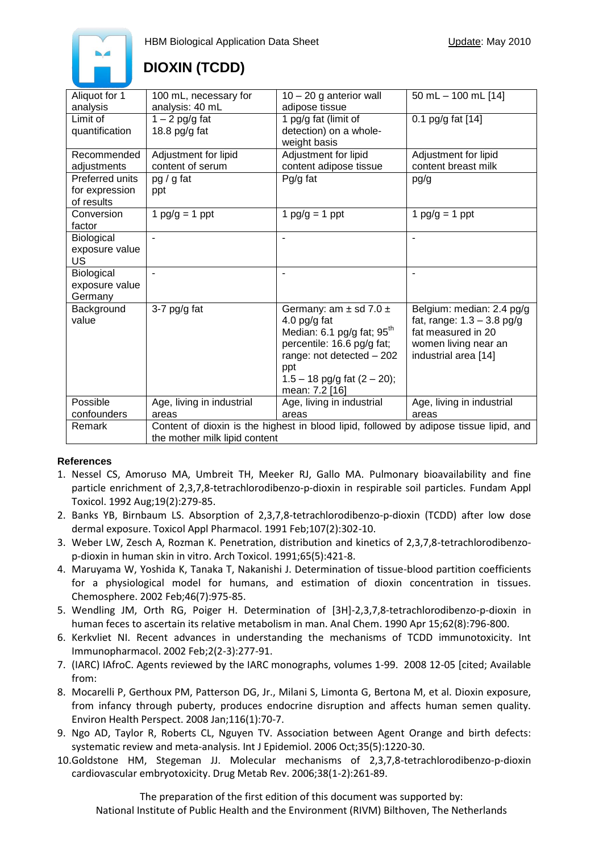

| Aliquot for 1     | 100 mL, necessary for                                                                  | $10 - 20$ g anterior wall              | 50 mL $-$ 100 mL [14]        |
|-------------------|----------------------------------------------------------------------------------------|----------------------------------------|------------------------------|
| analysis          | analysis: 40 mL                                                                        | adipose tissue                         |                              |
| Limit of          | $1 - 2$ pg/g fat                                                                       | 1 pg/g fat (limit of                   | 0.1 pg/g fat [14]            |
| quantification    | 18.8 pg/g fat                                                                          | detection) on a whole-                 |                              |
|                   |                                                                                        | weight basis                           |                              |
| Recommended       | Adjustment for lipid                                                                   | Adjustment for lipid                   | Adjustment for lipid         |
| adjustments       | content of serum                                                                       | content adipose tissue                 | content breast milk          |
| Preferred units   | pg / g fat                                                                             | $Pq/q$ fat                             | pg/g                         |
| for expression    | ppt                                                                                    |                                        |                              |
| of results        |                                                                                        |                                        |                              |
| Conversion        | 1 $pg/g = 1$ ppt                                                                       | 1 $pg/g = 1$ ppt                       | 1 $pg/g = 1$ ppt             |
| factor            |                                                                                        |                                        |                              |
| Biological        |                                                                                        | $\overline{\phantom{a}}$               |                              |
| exposure value    |                                                                                        |                                        |                              |
| US                |                                                                                        |                                        |                              |
| <b>Biological</b> |                                                                                        | ٠                                      |                              |
| exposure value    |                                                                                        |                                        |                              |
| Germany           |                                                                                        |                                        |                              |
| Background        | 3-7 $pg/g$ fat                                                                         | Germany: am $\pm$ sd 7.0 $\pm$         | Belgium: median: 2.4 pg/g    |
| value             |                                                                                        | 4.0 pg/g fat                           | fat, range: $1.3 - 3.8$ pg/g |
|                   |                                                                                        | Median: 6.1 pg/g fat; 95 <sup>th</sup> | fat measured in 20           |
|                   |                                                                                        | percentile: 16.6 pg/g fat;             | women living near an         |
|                   |                                                                                        | range: not detected - 202              | industrial area [14]         |
|                   |                                                                                        | ppt                                    |                              |
|                   |                                                                                        | $1.5 - 18$ pg/g fat $(2 - 20)$ ;       |                              |
|                   |                                                                                        | mean: 7.2 [16]                         |                              |
| Possible          | Age, living in industrial                                                              | Age, living in industrial              | Age, living in industrial    |
| confounders       | areas                                                                                  | areas                                  | areas                        |
| Remark            | Content of dioxin is the highest in blood lipid, followed by adipose tissue lipid, and |                                        |                              |
|                   | the mother milk lipid content                                                          |                                        |                              |

### **References**

- 1. Nessel CS, Amoruso MA, Umbreit TH, Meeker RJ, Gallo MA. Pulmonary bioavailability and fine particle enrichment of 2,3,7,8-tetrachlorodibenzo-p-dioxin in respirable soil particles. Fundam Appl Toxicol. 1992 Aug;19(2):279-85.
- 2. Banks YB, Birnbaum LS. Absorption of 2,3,7,8-tetrachlorodibenzo-p-dioxin (TCDD) after low dose dermal exposure. Toxicol Appl Pharmacol. 1991 Feb;107(2):302-10.
- 3. Weber LW, Zesch A, Rozman K. Penetration, distribution and kinetics of 2,3,7,8-tetrachlorodibenzop-dioxin in human skin in vitro. Arch Toxicol. 1991;65(5):421-8.
- 4. Maruyama W, Yoshida K, Tanaka T, Nakanishi J. Determination of tissue-blood partition coefficients for a physiological model for humans, and estimation of dioxin concentration in tissues. Chemosphere. 2002 Feb;46(7):975-85.
- 5. Wendling JM, Orth RG, Poiger H. Determination of [3H]-2,3,7,8-tetrachlorodibenzo-p-dioxin in human feces to ascertain its relative metabolism in man. Anal Chem. 1990 Apr 15;62(8):796-800.
- 6. Kerkvliet NI. Recent advances in understanding the mechanisms of TCDD immunotoxicity. Int Immunopharmacol. 2002 Feb;2(2-3):277-91.
- 7. (IARC) IAfroC. Agents reviewed by the IARC monographs, volumes 1-99. 2008 12-05 [cited; Available from:
- 8. Mocarelli P, Gerthoux PM, Patterson DG, Jr., Milani S, Limonta G, Bertona M, et al. Dioxin exposure, from infancy through puberty, produces endocrine disruption and affects human semen quality. Environ Health Perspect. 2008 Jan;116(1):70-7.
- 9. Ngo AD, Taylor R, Roberts CL, Nguyen TV. Association between Agent Orange and birth defects: systematic review and meta-analysis. Int J Epidemiol. 2006 Oct;35(5):1220-30.
- 10.Goldstone HM, Stegeman JJ. Molecular mechanisms of 2,3,7,8-tetrachlorodibenzo-p-dioxin cardiovascular embryotoxicity. Drug Metab Rev. 2006;38(1-2):261-89.

The preparation of the first edition of this document was supported by: National Institute of Public Health and the Environment (RIVM) Bilthoven, The Netherlands